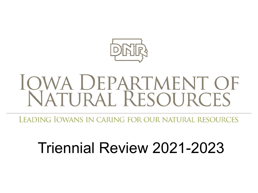

# IQWA DEPARTMENT OF<br>NATURAL RESOURCES

LEADING IOWANS IN CARING FOR OUR NATURAL RESOURCES

### Triennial Review 2021-2023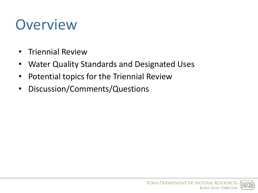## **Overview**

- Triennial Review
- Water Quality Standards and Designated Uses
- Potential topics for the Triennial Review
- Discussion/Comments/Questions

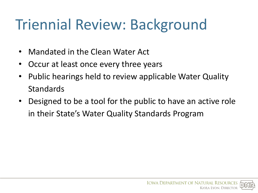# Triennial Review: Background

- Mandated in the Clean Water Act
- Occur at least once every three years
- Public hearings held to review applicable Water Quality Standards
- Designed to be a tool for the public to have an active role in their State's Water Quality Standards Program

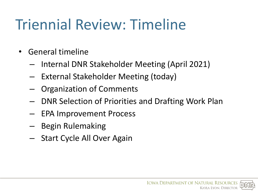# Triennial Review: Timeline

- General timeline
	- Internal DNR Stakeholder Meeting (April 2021)
	- External Stakeholder Meeting (today)
	- Organization of Comments
	- DNR Selection of Priorities and Drafting Work Plan
	- EPA Improvement Process
	- Begin Rulemaking
	- Start Cycle All Over Again

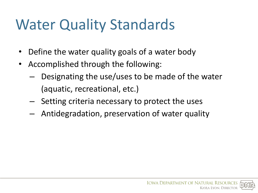# Water Quality Standards

- Define the water quality goals of a water body
- Accomplished through the following:
	- Designating the use/uses to be made of the water (aquatic, recreational, etc.)
	- Setting criteria necessary to protect the uses
	- Antidegradation, preservation of water quality

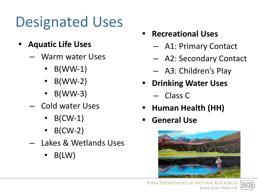# Designated Uses

- **• Aquatic Life Uses**
	- Warm water Uses
		- $\bullet$  B(WW-1)
		- $\bullet$  B(WW-2)
		- B(WW-3)
	- Cold water Uses
		- $\bullet$  B(CW-1)
		- $\bullet$  B(CW-2)
	- Lakes & Wetlands Uses
		- $\bullet$  B(LW)
- **• Recreational Uses**
	- A1: Primary Contact
	- A2: Secondary Contact
	- A3: Children's Play
- **• Drinking Water Uses**
	- Class C
- **• Human Health (HH)**
- **• General Use**



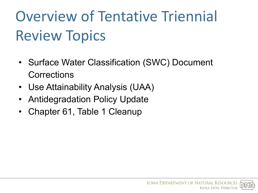# Overview of Tentative Triennial Review Topics

- Surface Water Classification (SWC) Document **Corrections**
- Use Attainability Analysis (UAA)
- Antidegradation Policy Update
- Chapter 61, Table 1 Cleanup

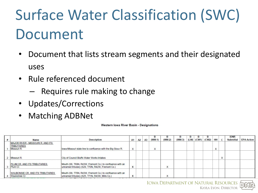# Surface Water Classification (SWC) Document

- Document that lists stream segments and their designated uses
- Rule referenced document
	- Requires rule making to change
- Updates/Corrections
- Matching ADBNet

Western Iowa River Basin - Designations

|                                                                        |                                                                                                                         |                |    |                |          |          | ּח       |                |       |                |    | <b>IDNR</b> |                   |
|------------------------------------------------------------------------|-------------------------------------------------------------------------------------------------------------------------|----------------|----|----------------|----------|----------|----------|----------------|-------|----------------|----|-------------|-------------------|
| Name                                                                   | <b>Description</b>                                                                                                      | A <sub>1</sub> | A2 | A <sub>3</sub> | $(WW-1)$ | $(WW-2)$ | $(WW-3)$ | $(LW)$ $(CW1)$ | (CW2) | HH             | C. | Submittal   | <b>EPA Action</b> |
| MAJOR RIVER - MISSOURI R. AND ITS<br><b>TRIBUTARIES</b><br>Missouri R. | Iowa-Missouri state line to confluence with the Big Sioux R.                                                            | X              |    |                |          |          |          |                |       | $\overline{ }$ |    |             |                   |
| 2 Missouri R.                                                          | City of Council Bluffs Water Works Intakes                                                                              |                |    |                |          |          |          |                |       |                |    |             |                   |
| <b>PLUM CR. AND ITS TRIBUTARIES</b><br>Plum Cr.                        | Mouth (S6, T69N, R43W, Fremont Co.) to confluence with an<br>unnamed tributary (S29, T70N, R42W, Fremont Co.)           | x              |    |                |          | ∧        |          |                |       |                |    |             |                   |
| WAUBONSIE CR. AND ITS TRIBUTARIES<br>Waubonsie Cr.                     | Mouth (S8, T70N, R43W, Fremont Co.) to confluence with an<br>unnamed tributary (S25, T71N, R43W, Mills Co.)<br>$\cdots$ |                |    |                |          |          |          |                |       |                |    |             |                   |

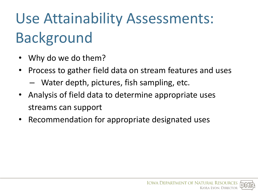# Use Attainability Assessments: Background

- Why do we do them?
- Process to gather field data on stream features and uses
	- Water depth, pictures, fish sampling, etc.
- Analysis of field data to determine appropriate uses streams can support
- Recommendation for appropriate designated uses

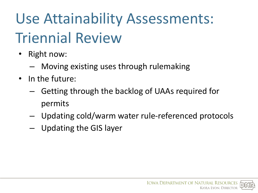# Use Attainability Assessments: Triennial Review

- Right now:
	- Moving existing uses through rulemaking
- In the future:
	- Getting through the backlog of UAAs required for permits
	- Updating cold/warm water rule-referenced protocols
	- Updating the GIS layer

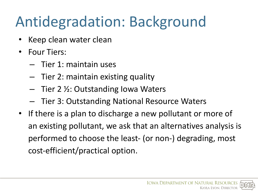# Antidegradation: Background

- Keep clean water clean
- Four Tiers:
	- Tier 1: maintain uses
	- Tier 2: maintain existing quality
	- Tier 2 ½: Outstanding Iowa Waters
	- Tier 3: Outstanding National Resource Waters
- If there is a plan to discharge a new pollutant or more of an existing pollutant, we ask that an alternatives analysis is performed to choose the least- (or non-) degrading, most cost-efficient/practical option.

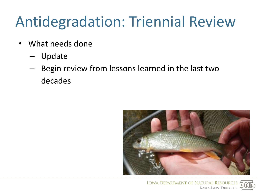# Antidegradation: Triennial Review

- What needs done
	- Update
	- Begin review from lessons learned in the last two decades



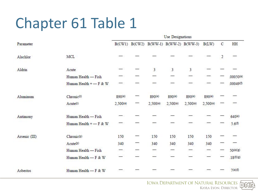## Chapter 61 Table 1

|               | <b>Use Designations</b>  |          |                   |                          |                |                         |                |   |           |  |  |
|---------------|--------------------------|----------|-------------------|--------------------------|----------------|-------------------------|----------------|---|-----------|--|--|
| Parameter     |                          |          | $B(CW1)$ $B(CW2)$ |                          |                | B(WW-1) B(WW-2) B(WW-3) | B(LW)          | C | HH        |  |  |
| Alachlor      | MCL                      |          |                   |                          |                |                         |                | 2 |           |  |  |
| Aldrin        | Acute                    |          |                   | 3                        | 3              | 3                       |                |   |           |  |  |
|               | Human Health — Fish      |          |                   |                          |                |                         |                |   | .00050(e) |  |  |
|               | Human Health + - F & W   |          |                   |                          |                |                         |                |   | .00049(f) |  |  |
| Aluminum      | Chronic <sup>(r)</sup>   | 890(0)   |                   | 890(0)                   | 890(0)         | 890(0)                  | 890(0)         |   |           |  |  |
|               | Acute(r)                 | 2,500(0) |                   | 2,500(0)                 | $2,500($ o $)$ | $2,500($ o $)$          | $2,500($ o $)$ |   |           |  |  |
| Antimony      | Human Health - Fish      |          |                   |                          |                |                         |                |   | 640(e)    |  |  |
|               | Human Health + $-$ F & W |          |                   |                          |                |                         |                |   | 5.6(f)    |  |  |
| Arsenic (III) | Chronic <sup>(p)</sup>   | 150      |                   | 150                      | 150            | 150                     | 150            |   |           |  |  |
|               | Acute <sup>(p)</sup>     | 340      |                   | 340                      | 340            | 340                     | 340            |   |           |  |  |
|               | Human Health - Fish      | -        |                   | $\overline{\phantom{0}}$ | ᅮ              |                         |                |   | 50(e)(g)  |  |  |
|               | Human Health - F & W     |          |                   |                          |                |                         |                |   | .18(f)(g) |  |  |
| Asbestos      | Human Health - F & W     |          |                   |                          |                |                         |                |   | 7(a)(f)   |  |  |

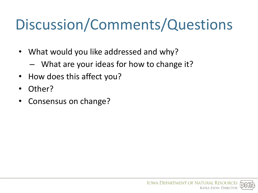# Discussion/Comments/Questions

- What would you like addressed and why?
	- What are your ideas for how to change it?
- How does this affect you?
- Other?
- Consensus on change?